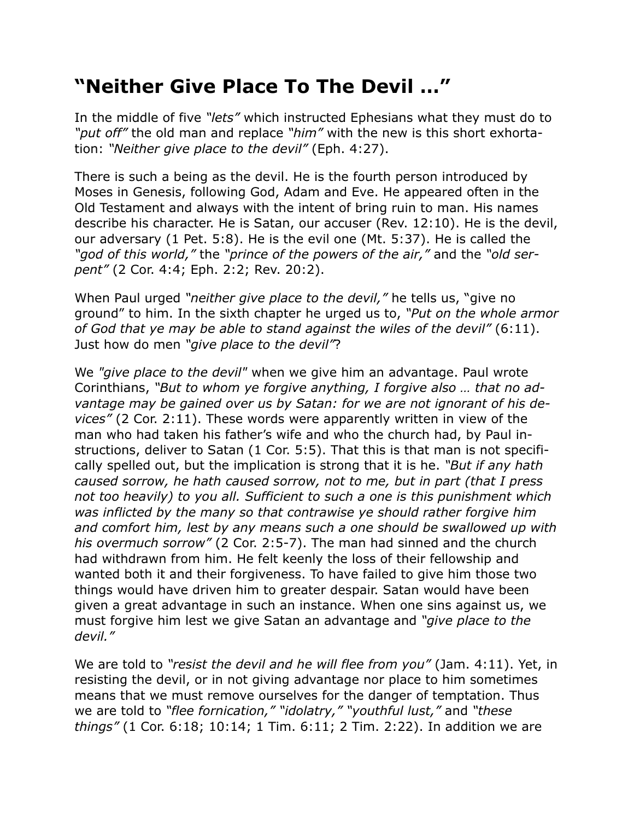## **"Neither Give Place To The Devil …"**

In the middle of five *"lets"* which instructed Ephesians what they must do to *"put off"* the old man and replace *"him"* with the new is this short exhortation: *"Neither give place to the devil"* (Eph. 4:27).

There is such a being as the devil. He is the fourth person introduced by Moses in Genesis, following God, Adam and Eve. He appeared often in the Old Testament and always with the intent of bring ruin to man. His names describe his character. He is Satan, our accuser (Rev. 12:10). He is the devil, our adversary (1 Pet. 5:8). He is the evil one (Mt. 5:37). He is called the *"god of this world,"* the *"prince of the powers of the air,"* and the *"old serpent"* (2 Cor. 4:4; Eph. 2:2; Rev. 20:2).

When Paul urged *"neither give place to the devil,"* he tells us, "give no ground" to him. In the sixth chapter he urged us to, *"Put on the whole armor of God that ye may be able to stand against the wiles of the devil"* (6:11). Just how do men *"give place to the devil"*?

We *"give place to the devil"* when we give him an advantage. Paul wrote Corinthians, *"But to whom ye forgive anything, I forgive also … that no advantage may be gained over us by Satan: for we are not ignorant of his devices"* (2 Cor. 2:11). These words were apparently written in view of the man who had taken his father's wife and who the church had, by Paul instructions, deliver to Satan (1 Cor. 5:5). That this is that man is not specifically spelled out, but the implication is strong that it is he. *"But if any hath caused sorrow, he hath caused sorrow, not to me, but in part (that I press not too heavily) to you all. Sufficient to such a one is this punishment which was inflicted by the many so that contrawise ye should rather forgive him and comfort him, lest by any means such a one should be swallowed up with his overmuch sorrow"* (2 Cor. 2:5-7). The man had sinned and the church had withdrawn from him. He felt keenly the loss of their fellowship and wanted both it and their forgiveness. To have failed to give him those two things would have driven him to greater despair. Satan would have been given a great advantage in such an instance. When one sins against us, we must forgive him lest we give Satan an advantage and *"give place to the devil."*

We are told to *"resist the devil and he will flee from you"* (Jam. 4:11). Yet, in resisting the devil, or in not giving advantage nor place to him sometimes means that we must remove ourselves for the danger of temptation. Thus we are told to *"flee fornication," "idolatry," "youthful lust,"* and *"these things"* (1 Cor. 6:18; 10:14; 1 Tim. 6:11; 2 Tim. 2:22). In addition we are